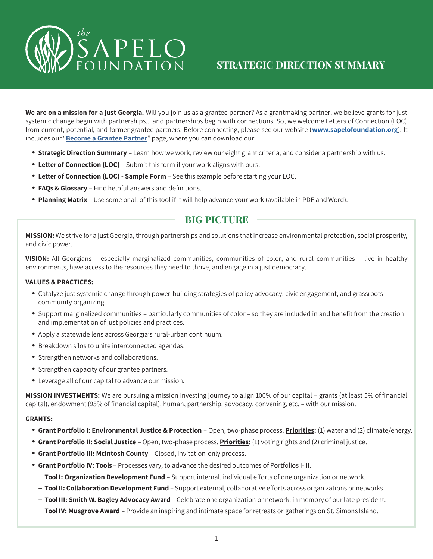

We are on a mission for a just Georgia. Will you join us as a grantee partner? As a grantmaking partner, we believe grants for just systemic change begin with partnerships... and partnerships begin with connections. So, we welcome Letters of Connection (LOC) from current, potential, and former grantee partners. Before connecting, please see our website (**[www.sapelofoundation.org](http://www.sapelofoundation.org/)**). It includes our "**[Become a Grantee Partner](https://sapelofoundation.org/become-a-grantee-partner/)**" page, where you can download our:

- **Strategic Direction Summary**  Learn how we work, review our eight grant criteria, and consider a partnership with us.
- **Letter of Connection (LOC)** Submit this form if your work aligns with ours.
- **Letter of Connection (LOC) - Sample Form**  See this example before starting your LOC.
- **FAQs & Glossary**  Find helpful answers and definitions.
- **Planning Matrix**  Use some or all of this tool if it will help advance your work (available in PDF and Word).

## **BIG PICTURE**

**MISSION:** We strive for a just Georgia, through partnerships and solutions that increase environmental protection, social prosperity, and civic power.

**VISION:** All Georgians – especially marginalized communities, communities of color, and rural communities – live in healthy environments, have access to the resources they need to thrive, and engage in a just democracy.

#### **VALUES & PRACTICES:**

- Catalyze just systemic change through power-building strategies of policy advocacy, civic engagement, and grassroots community organizing.
- Support marginalized communities particularly communities of color so they are included in and benefit from the creation and implementation of just policies and practices.
- Apply a statewide lens across Georgia's rural-urban continuum.
- Breakdown silos to unite interconnected agendas.
- Strengthen networks and collaborations.
- Strengthen capacity of our grantee partners.
- Leverage all of our capital to advance our mission.

**MISSION INVESTMENTS:** We are pursuing a mission investing journey to align 100% of our capital – grants (at least 5% of financial capital), endowment (95% of financial capital), human, partnership, advocacy, convening, etc. – with our mission.

#### **GRANTS:**

- **Grant Portfolio I: Environmental Justice & Protection**  Open, two-phase process. **Priorities:** (1) water and (2) climate/energy.
- **Grant Portfolio II: Social Justice**  Open, two-phase process. **Priorities:** (1) voting rights and (2) criminal justice.
- **Grant Portfolio III: McIntosh County**  Closed, invitation-only process.
- **Grant Portfolio IV: Tools**  Processes vary, to advance the desired outcomes of Portfolios I-III.
	- **Tool I: Organization Development Fund**  Support internal, individual efforts of one organization or network.
	- **ToolII: Collaboration Development Fund** Support external, collaborative efforts across organizations or networks.
	- **Tool III: Smith W. Bagley Advocacy Award** Celebrate one organization or network, in memory of our late president.
	- **Tool IV: Musgrove Award**  Provide an inspiring and intimate space for retreats or gatherings on St. Simons Island.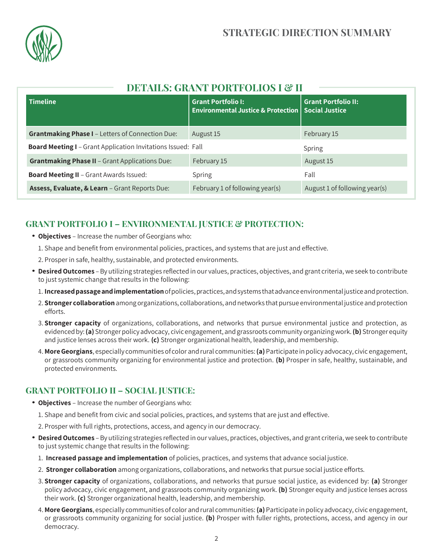

# **DETAILS: GRANT PORTFOLIOS I & II**

| <b>Timeline</b>                                              | <b>Grant Portfolio I:</b><br><b>Environmental Justice &amp; Protection</b> | <b>Grant Portfolio II:</b><br><b>Social Justice</b> |
|--------------------------------------------------------------|----------------------------------------------------------------------------|-----------------------------------------------------|
| <b>Grantmaking Phase I - Letters of Connection Due:</b>      | August 15                                                                  | February 15                                         |
| Board Meeting I - Grant Application Invitations Issued: Fall |                                                                            | Spring                                              |
| <b>Grantmaking Phase II - Grant Applications Due:</b>        | February 15                                                                | August 15                                           |
| <b>Board Meeting II - Grant Awards Issued:</b>               | Spring                                                                     | Fall                                                |
| Assess, Evaluate, & Learn - Grant Reports Due:               | February 1 of following year(s)                                            | August 1 of following year(s)                       |

# **GRANT PORTFOLIO I – ENVIRONMENTAL JUSTICE & PROTECTION:**

- **Objectives**  Increase the number of Georgians who:
	- 1. Shape and benefit from environmental policies, practices, and systems that are just and effective.
	- 2. Prosper in safe, healthy, sustainable, and protected environments.
- **DesiredOutcomes** –By utilizing strategies reflected in our values, practices, objectives, and grant criteria, we seek to contribute to just systemic change that results in the following:
	- 1. **Increasedpassageandimplementation**ofpolicies,practices,andsystems thatadvanceenvironmentaljusticeandprotection.
	- 2. **Stronger collaboration**amongorganizations, collaborations, andnetworks thatpursue environmental justice andprotection efforts.
	- 3. **Stronger capacity** of organizations, collaborations, and networks that pursue environmental justice and protection, as evidencedby:**(a)** Stronger policyadvocacy, civicengagement, andgrassroots community organizingwork.**(b)** Stronger equity and justice lenses across their work. **(c)** Stronger organizational health, leadership, and membership.
	- 4. **MoreGeorgians**, especially communities of color andrural communities:**(a)**Participate inpolicy advocacy, civic engagement, or grassroots community organizing for environmental justice and protection. **(b)** Prosper in safe, healthy, sustainable, and protected environments.

### **GRANT PORTFOLIO II – SOCIAL JUSTICE:**

- **Objectives**  Increase the number of Georgians who:
	- 1. Shape and benefit from civic and social policies, practices, and systems that are just and effective.
	- 2. Prosper with full rights, protections, access, and agency in our democracy.
- **DesiredOutcomes** –By utilizing strategies reflected in our values, practices, objectives, and grant criteria, we seek to contribute to just systemic change that results in the following:
	- 1. **Increased passage and implementation** of policies, practices, and systems that advance social justice.
	- 2. **Stronger collaboration** among organizations, collaborations, and networks that pursue social justice efforts.
	- 3. **Stronger capacity** of organizations, collaborations, and networks that pursue social justice, as evidenced by: **(a)** Stronger policy advocacy, civic engagement, and grassroots community organizing work. **(b)** Stronger equity and justice lenses across their work. **(c)** Stronger organizational health, leadership, and membership.
	- 4. **More Georgians**, especially communities of color andrural communities:**(a)**Participate inpolicy advocacy, civic engagement, or grassroots community organizing for social justice. **(b)** Prosper with fuller rights, protections, access, and agency in our democracy.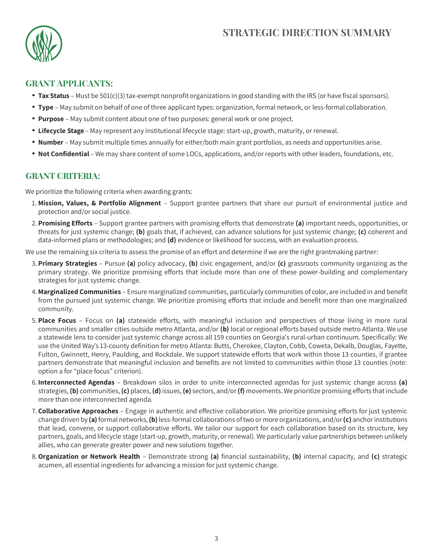

#### **GRANT APPLICANTS:**

- **Tax Status** Must be 501(c)(3) tax-exempt nonprofit organizations in good standing with the IRS (or have fiscal sponsors).
- **Type**  May submit on behalf of one of three applicant types: organization, formal network, or less-formal collaboration.
- **Purpose**  May submit content about one of two purposes: general work or one project.
- **Lifecycle Stage**  May represent any institutional lifecycle stage: start-up, growth, maturity, or renewal.
- **Number**  May submit multiple times annually for either/both main grant portfolios, as needs and opportunities arise.
- **Not Confidential** We may share content of some LOCs, applications, and/or reports with other leaders, foundations, etc.

### **GRANT CRITERIA:**

We prioritize the following criteria when awarding grants:

- 1. **Mission, Values, & Portfolio Alignment**  Support grantee partners that share our pursuit of environmental justice and protection and/or social justice.
- 2. **Promising Efforts**  Support grantee partners with promising efforts that demonstrate **(a)** important needs, opportunities, or threats for just systemic change; **(b)** goals that, if achieved, can advance solutions for just systemic change; **(c)** coherent and data-informed plans or methodologies; and **(d)** evidence or likelihood for success, with an evaluation process.

We use the remaining six criteria to assess the promise of an effort and determine if we are the right grantmaking partner:

- 3. **Primary Strategies**  Pursue **(a)** policy advocacy, **(b)** civic engagement, and/or **(c)** grassroots community organizing as the primary strategy. We prioritize promising efforts that include more than one of these power-building and complementary strategies for just systemic change.
- 4. **Marginalized Communities** Ensure marginalized communities, particularly communities of color, are included in and benefit from the pursued just systemic change. We prioritize promising efforts that include and benefit more than one marginalized community.
- 5. **Place Focus**  Focus on **(a)** statewide efforts, with meaningful inclusion and perspectives of those living in more rural communities and smaller cities outside metro Atlanta, and/or **(b)** local or regional efforts based outside metro Atlanta. We use a statewide lens to consider just systemic change across all 159 counties on Georgia's rural-urban continuum. Specifically: We use the United Way's 13-county definition for metro Atlanta: Butts, Cherokee, Clayton, Cobb, Coweta, Dekalb, Douglas, Fayette, Fulton, Gwinnett, Henry, Paulding, and Rockdale. We support statewide efforts that work within those 13 counties, if grantee partners demonstrate that meaningful inclusion and benefits are not limited to communities within those 13 counties (note: option a for "place focus" criterion).
- 6. **Interconnected Agendas**  Breakdown silos in order to unite interconnected agendas for just systemic change across **(a)**  strategies,**(b)** communities,**(c)** places,**(d)**issues,**(e)** sectors, and/or**(f)** movements. We prioritize promising efforts thatinclude more than one interconnected agenda.
- 7. **Collaborative Approaches**  Engage in authentic and effective collaboration. We prioritize promising efforts for just systemic change driven by **(a)**formal networks,**(b)**less-formal collaborations oftwo or more organizations, and/or**(c)** anchorinstitutions that lead, convene, or support collaborative efforts. We tailor our support for each collaboration based on its structure, key partners, goals, and lifecycle stage (start-up, growth, maturity, or renewal). We particularly value partnerships between unlikely allies, who can generate greater power and new solutions together.
- 8.**Organization or Network Health**  Demonstrate strong **(a)** financial sustainability, **(b)** internal capacity, and **(c)** strategic acumen, all essential ingredients for advancing a mission for just systemic change.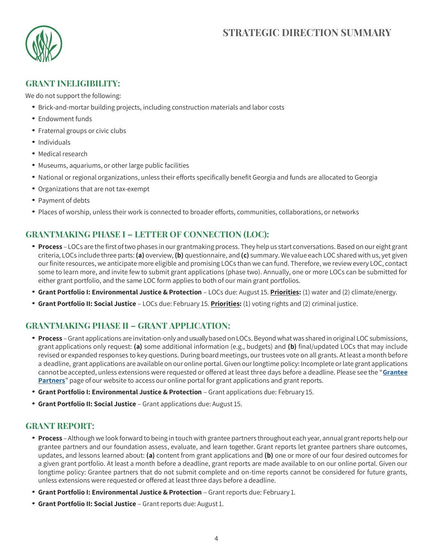

### **GRANT INELIGIBILITY:**

We do not support the following:

- Brick-and-mortar building projects, including construction materials and labor costs
- Endowment funds
- Fraternal groups or civic clubs
- Individuals
- Medical research
- Museums, aquariums, or other large public facilities
- National or regional organizations, unless their efforts specifically benefit Georgia and funds are allocated to Georgia
- Organizations that are not tax-exempt
- Payment of debts
- Places of worship, unless their work is connected to broader efforts, communities, collaborations, or networks

## **GRANTMAKING PHASE I – LETTER OF CONNECTION (LOC):**

- **Process** LOCs are the first oftwo phases in our grantmaking process. They help us start conversations. Based on our eight grant criteria, LOCs include three parts:**(a)** overview, **(b)** questionnaire, and **(c)** summary. We value each LOC shared with us, yet given our finite resources, we anticipate more eligible and promising LOCs than we can fund. Therefore, we review every LOC, contact some to learn more, and invite few to submit grant applications (phase two). Annually, one or more LOCs can be submitted for either grant portfolio, and the same LOC form applies to both of our main grant portfolios.
- **Grant Portfolio I: Environmental Justice & Protection**  LOCs due: August 15. **Priorities:** (1) water and (2) climate/energy.
- **Grant Portfolio II: Social Justice**  LOCs due: February 15. **Priorities:** (1) voting rights and (2) criminal justice.

### **GRANTMAKING PHASE II – GRANT APPLICATION:**

- **Process** –Grant applications are invitation-only and usually based onLOCs. Beyond what was shared in original LOC submissions, grant applications only request: **(a)** some additional information (e.g., budgets) and **(b)** final/updated LOCs that may include revised or expanded responses to key questions. During board meetings, our trustees vote on all grants. At least a month before a deadline, grant applications are availableon our online portal. Given ourlongtime policy: Incomplete orlate grant applications cannotbe accepted, unless extensions were requested or offered at least three days before a deadline. Please see the "**[Grantee](http://sapelo-foundation.flywheelsites.com/grantee-partners/)  [Partners](http://sapelo-foundation.flywheelsites.com/grantee-partners/)**" page of our website to access our online portal for grant applications and grant reports.
- **Grant Portfolio I: Environmental Justice & Protection**  Grant applications due: February 15.
- **Grant Portfolio II: Social Justice**  Grant applications due: August 15.

#### **GRANT REPORT:**

- **Process** Although we look forward to being in touch with grantee partners throughout each year, annual grantreports help our grantee partners and our foundation assess, evaluate, and learn together. Grant reports let grantee partners share outcomes, updates, and lessons learned about: **(a)** content from grant applications and **(b)** one or more of our four desired outcomes for a given grant portfolio. At least a month before a deadline, grant reports are made available to on our online portal. Given our longtime policy: Grantee partners that do not submit complete and on-time reports cannot be considered for future grants, unless extensions were requested or offered at least three days before a deadline.
- **Grant Portfolio I: Environmental Justice & Protection**  Grant reports due: February 1.
- **Grant Portfolio II: Social Justice**  Grant reports due: August 1.